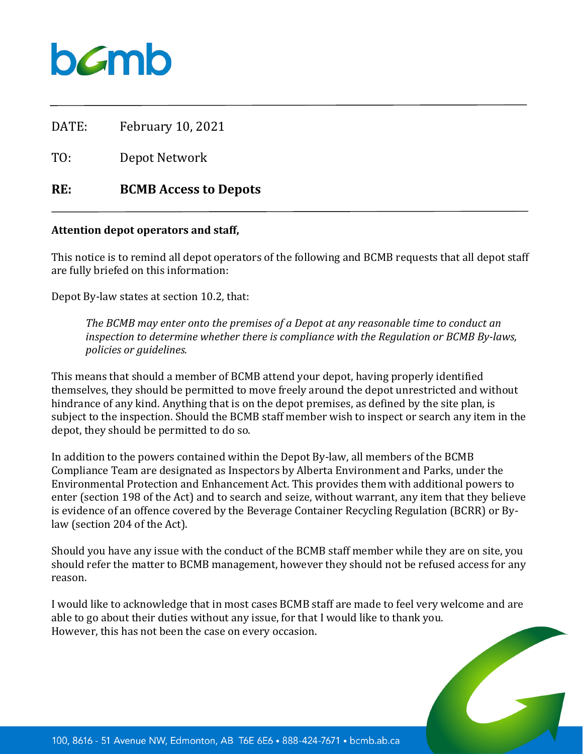

DATE: February 10, 2021

TO: Depot Network

## **RE: BCMB Access to Depots**

## **Attention depot operators and staff,**

This notice is to remind all depot operators of the following and BCMB requests that all depot staff are fully briefed on this information:

Depot By-law states at section 10.2, that:

*The BCMB may enter onto the premises of a Depot at any reasonable time to conduct an inspection to determine whether there is compliance with the Regulation or BCMB By-laws, policies or guidelines.*

This means that should a member of BCMB attend your depot, having properly identified themselves, they should be permitted to move freely around the depot unrestricted and without hindrance of any kind. Anything that is on the depot premises, as defined by the site plan, is subject to the inspection. Should the BCMB staff member wish to inspect or search any item in the depot, they should be permitted to do so.

In addition to the powers contained within the Depot By-law, all members of the BCMB Compliance Team are designated as Inspectors by Alberta Environment and Parks, under the Environmental Protection and Enhancement Act. This provides them with additional powers to enter (section 198 of the Act) and to search and seize, without warrant, any item that they believe is evidence of an offence covered by the Beverage Container Recycling Regulation (BCRR) or Bylaw (section 204 of the Act).

Should you have any issue with the conduct of the BCMB staff member while they are on site, you should refer the matter to BCMB management, however they should not be refused access for any reason.

I would like to acknowledge that in most cases BCMB staff are made to feel very welcome and are able to go about their duties without any issue, for that I would like to thank you. However, this has not been the case on every occasion.